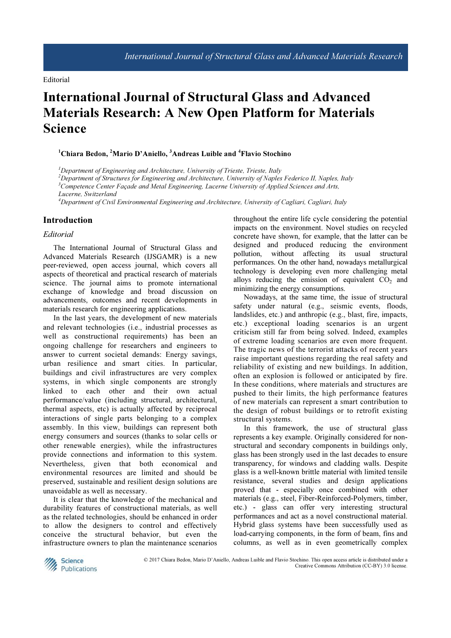## International Journal of Structural Glass and Advanced Materials Research: A New Open Platform for Materials Science

## $1$ Chiara Bedon, <sup>2</sup>Mario D'Aniello,  $3$ Andreas Luible and  $4$ Flavio Stochino

 $<sup>1</sup>$ Department of Engineering and Architecture, University of Trieste, Trieste, Italy</sup>

 $^{2}$ Department of Structures for Engineering and Architecture, University of Naples Federico II, Naples, Italy  $3$ Competence Center Façade and Metal Engineering, Lucerne University of Applied Sciences and Arts,

Lucerne, Switzerland

<sup>4</sup>Department of Civil Environmental Engineering and Architecture, University of Cagliari, Cagliari, Italy

## Introduction

## Editorial

The International Journal of Structural Glass and Advanced Materials Research (IJSGAMR) is a new peer-reviewed, open access journal, which covers all aspects of theoretical and practical research of materials science. The journal aims to promote international exchange of knowledge and broad discussion on advancements, outcomes and recent developments in materials research for engineering applications.

In the last years, the development of new materials and relevant technologies (i.e., industrial processes as well as constructional requirements) has been an ongoing challenge for researchers and engineers to answer to current societal demands: Energy savings, urban resilience and smart cities. In particular, buildings and civil infrastructures are very complex systems, in which single components are strongly linked to each other and their own actual performance/value (including structural, architectural, thermal aspects, etc) is actually affected by reciprocal interactions of single parts belonging to a complex assembly. In this view, buildings can represent both energy consumers and sources (thanks to solar cells or other renewable energies), while the infrastructures provide connections and information to this system. Nevertheless, given that both economical and environmental resources are limited and should be preserved, sustainable and resilient design solutions are unavoidable as well as necessary.

It is clear that the knowledge of the mechanical and durability features of constructional materials, as well as the related technologies, should be enhanced in order to allow the designers to control and effectively conceive the structural behavior, but even the infrastructure owners to plan the maintenance scenarios throughout the entire life cycle considering the potential impacts on the environment. Novel studies on recycled concrete have shown, for example, that the latter can be designed and produced reducing the environment pollution, without affecting its usual structural performances. On the other hand, nowadays metallurgical technology is developing even more challenging metal alloys reducing the emission of equivalent  $CO<sub>2</sub>$  and minimizing the energy consumptions.

Nowadays, at the same time, the issue of structural safety under natural (e.g., seismic events, floods, landslides, etc.) and anthropic (e.g., blast, fire, impacts, etc.) exceptional loading scenarios is an urgent criticism still far from being solved. Indeed, examples of extreme loading scenarios are even more frequent. The tragic news of the terrorist attacks of recent years raise important questions regarding the real safety and reliability of existing and new buildings. In addition, often an explosion is followed or anticipated by fire. In these conditions, where materials and structures are pushed to their limits, the high performance features of new materials can represent a smart contribution to the design of robust buildings or to retrofit existing structural systems.

In this framework, the use of structural glass represents a key example. Originally considered for nonstructural and secondary components in buildings only, glass has been strongly used in the last decades to ensure transparency, for windows and cladding walls. Despite glass is a well-known brittle material with limited tensile resistance, several studies and design applications proved that - especially once combined with other materials (e.g., steel, Fiber-Reinforced-Polymers, timber, etc.) - glass can offer very interesting structural performances and act as a novel constructional material. Hybrid glass systems have been successfully used as load-carrying components, in the form of beam, fins and columns, as well as in even geometrically complex



 © 2017 Chiara Bedon, Mario D'Aniello, Andreas Luible and Flavio Stochino. This open access article is distributed under a Creative Commons Attribution (CC-BY) 3.0 license.